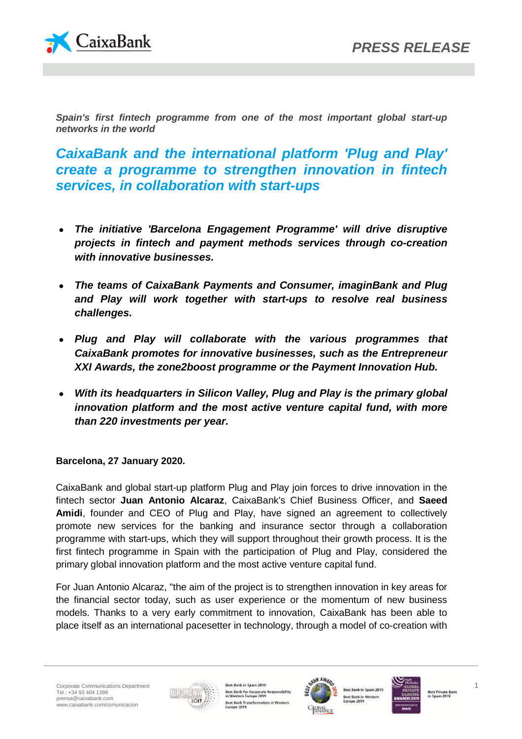

*Spain's first fintech programme from one of the most important global start-up networks in the world*

*CaixaBank and the international platform 'Plug and Play' create a programme to strengthen innovation in fintech services, in collaboration with start-ups*

- *The initiative 'Barcelona Engagement Programme' will drive disruptive projects in fintech and payment methods services through co-creation with innovative businesses.*
- *The teams of CaixaBank Payments and Consumer, imaginBank and Plug and Play will work together with start-ups to resolve real business challenges.*
- *Plug and Play will collaborate with the various programmes that CaixaBank promotes for innovative businesses, such as the Entrepreneur XXI Awards, the zone2boost programme or the Payment Innovation Hub.*
- *With its headquarters in Silicon Valley, Plug and Play is the primary global innovation platform and the most active venture capital fund, with more than 220 investments per year.*

# **Barcelona, 27 January 2020.**

CaixaBank and global start-up platform Plug and Play join forces to drive innovation in the fintech sector **Juan Antonio Alcaraz**, CaixaBank's Chief Business Officer, and **Saeed Amidi**, founder and CEO of Plug and Play, have signed an agreement to collectively promote new services for the banking and insurance sector through a collaboration programme with start-ups, which they will support throughout their growth process. It is the first fintech programme in Spain with the participation of Plug and Play, considered the primary global innovation platform and the most active venture capital fund.

For Juan Antonio Alcaraz, "the aim of the project is to strengthen innovation in key areas for the financial sector today, such as user experience or the momentum of new business models. Thanks to a very early commitment to innovation, CaixaBank has been able to place itself as an international pacesetter in technology, through a model of co-creation with



ok in Spain 2019 Bust Bank for Corporate Res mibility Best Bank Transformation in Wester<br>Europe 2019



sk in Spain 2019 est Bank in West



Best Private Bank<br>In Spain 2019

1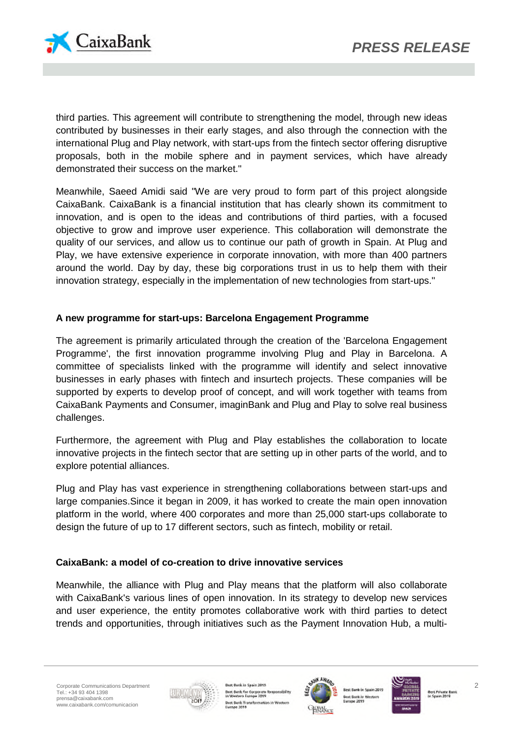

third parties. This agreement will contribute to strengthening the model, through new ideas contributed by businesses in their early stages, and also through the connection with the international Plug and Play network, with start-ups from the fintech sector offering disruptive proposals, both in the mobile sphere and in payment services, which have already demonstrated their success on the market."

Meanwhile, Saeed Amidi said "We are very proud to form part of this project alongside CaixaBank. CaixaBank is a financial institution that has clearly shown its commitment to innovation, and is open to the ideas and contributions of third parties, with a focused objective to grow and improve user experience. This collaboration will demonstrate the quality of our services, and allow us to continue our path of growth in Spain. At Plug and Play, we have extensive experience in corporate innovation, with more than 400 partners around the world. Day by day, these big corporations trust in us to help them with their innovation strategy, especially in the implementation of new technologies from start-ups."

## **A new programme for start-ups: Barcelona Engagement Programme**

The agreement is primarily articulated through the creation of the 'Barcelona Engagement Programme', the first innovation programme involving Plug and Play in Barcelona. A committee of specialists linked with the programme will identify and select innovative businesses in early phases with fintech and insurtech projects. These companies will be supported by experts to develop proof of concept, and will work together with teams from CaixaBank Payments and Consumer, imaginBank and Plug and Play to solve real business challenges.

Furthermore, the agreement with Plug and Play establishes the collaboration to locate innovative projects in the fintech sector that are setting up in other parts of the world, and to explore potential alliances.

Plug and Play has vast experience in strengthening collaborations between start-ups and large companies.Since it began in 2009, it has worked to create the main open innovation platform in the world, where 400 corporates and more than 25,000 start-ups collaborate to design the future of up to 17 different sectors, such as fintech, mobility or retail.

## **CaixaBank: a model of co-creation to drive innovative services**

Meanwhile, the alliance with Plug and Play means that the platform will also collaborate with CaixaBank's various lines of open innovation. In its strategy to develop new services and user experience, the entity promotes collaborative work with third parties to detect trends and opportunities, through initiatives such as the Payment Innovation Hub, a multi-



ok in Spain 2019 Best Bank for Corporate Re and follows: Best Bank Transformation in Western<br>Europe 2019



est Bank in West



**Best Private Bank**<br>In Spain 2019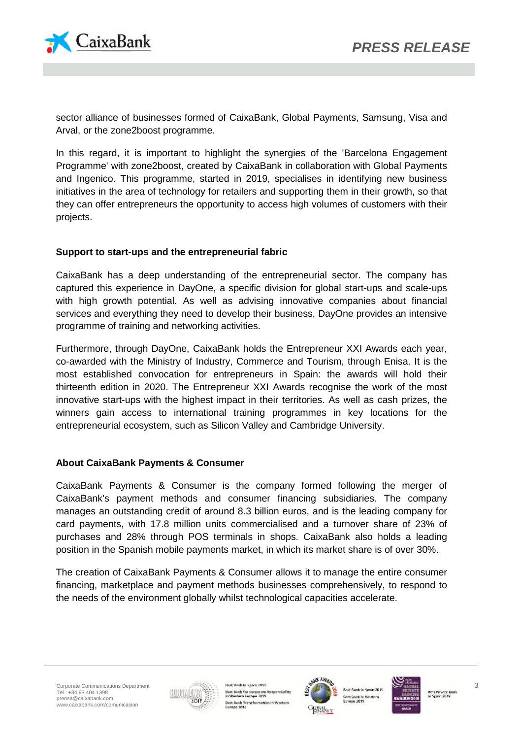

sector alliance of businesses formed of CaixaBank, Global Payments, Samsung, Visa and Arval, or the zone2boost programme.

In this regard, it is important to highlight the synergies of the 'Barcelona Engagement Programme' with zone2boost, created by CaixaBank in collaboration with Global Payments and Ingenico. This programme, started in 2019, specialises in identifying new business initiatives in the area of technology for retailers and supporting them in their growth, so that they can offer entrepreneurs the opportunity to access high volumes of customers with their projects.

## **Support to start-ups and the entrepreneurial fabric**

CaixaBank has a deep understanding of the entrepreneurial sector. The company has captured this experience in DayOne, a specific division for global start-ups and scale-ups with high growth potential. As well as advising innovative companies about financial services and everything they need to develop their business, DayOne provides an intensive programme of training and networking activities.

Furthermore, through DayOne, CaixaBank holds the Entrepreneur XXI Awards each year, co-awarded with the Ministry of Industry, Commerce and Tourism, through Enisa. It is the most established convocation for entrepreneurs in Spain: the awards will hold their thirteenth edition in 2020. The Entrepreneur XXI Awards recognise the work of the most innovative start-ups with the highest impact in their territories. As well as cash prizes, the winners gain access to international training programmes in key locations for the entrepreneurial ecosystem, such as Silicon Valley and Cambridge University.

## **About CaixaBank Payments & Consumer**

CaixaBank Payments & Consumer is the company formed following the merger of CaixaBank's payment methods and consumer financing subsidiaries. The company manages an outstanding credit of around 8.3 billion euros, and is the leading company for card payments, with 17.8 million units commercialised and a turnover share of 23% of purchases and 28% through POS terminals in shops. CaixaBank also holds a leading position in the Spanish mobile payments market, in which its market share is of over 30%.

The creation of CaixaBank Payments & Consumer allows it to manage the entire consumer financing, marketplace and payment methods businesses comprehensively, to respond to the needs of the environment globally whilst technological capacities accelerate.



ok in Spain 2019 Best Bank for Corporate Re all direct Best Bank Transformation in Wester<br>Europe 2019



**C Bank in Wes** 



**Best Private Bank**<br>In Spain 2019

3